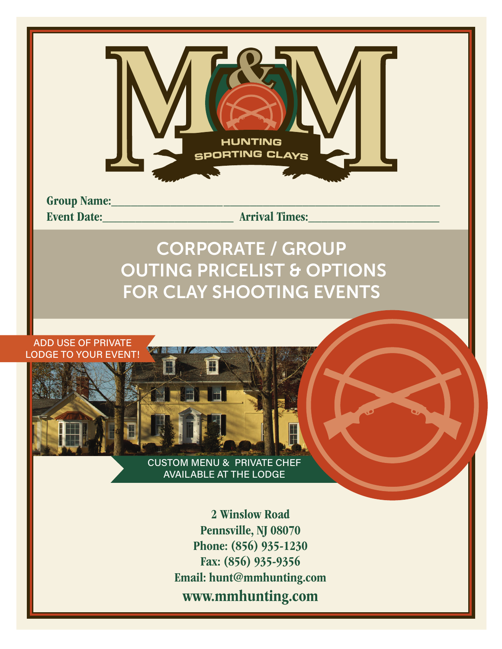

Group Name:\_\_\_\_\_\_\_\_\_\_\_\_\_\_\_\_\_\_\_\_\_\_\_\_\_\_\_\_\_\_\_\_\_\_\_\_\_\_\_\_\_\_\_\_\_\_\_\_\_\_ Event Date:\_\_\_\_\_\_\_\_\_\_\_\_\_\_\_\_\_\_\_\_ Arrival Times:\_\_\_\_\_\_\_\_\_\_\_\_\_\_\_\_\_\_\_\_

## CORPORATE / GROUP OUTING PRICELIST & OPTIONS FOR CLAY SHOOTING EVENTS

ADD USE OF PRIVATE LODGE TO YOUR EVENT!

> CUSTOM MENU & PRIVATE CHEF AVAILABLE AT THE LODGE

> > 2 Winslow Road Pennsville, NJ 08070 Phone: (856) 935-1230 Fax: (856) 935-9356 Email: hunt@mmhunting.com www.mmhunting.com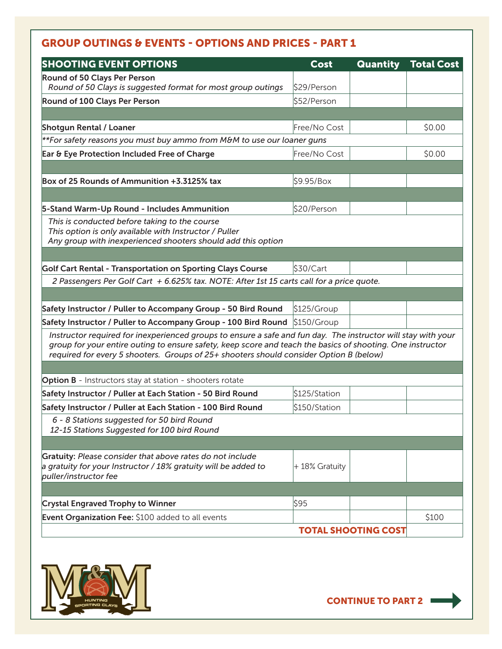## GROUP OUTINGS & EVENTS - OPTIONS AND PRICES - PART 1

| <b>SHOOTING EVENT OPTIONS</b>                                                                                                                                                                        | Cost          | <b>Quantity</b>            | <b>Total Cost</b> |
|------------------------------------------------------------------------------------------------------------------------------------------------------------------------------------------------------|---------------|----------------------------|-------------------|
| Round of 50 Clays Per Person                                                                                                                                                                         |               |                            |                   |
| Round of 50 Clays is suggested format for most group outings                                                                                                                                         | \$29/Person   |                            |                   |
| Round of 100 Clays Per Person                                                                                                                                                                        | \$52/Person   |                            |                   |
|                                                                                                                                                                                                      |               |                            |                   |
| <b>Shotgun Rental / Loaner</b>                                                                                                                                                                       | Free/No Cost  |                            | \$0.00            |
| **For safety reasons you must buy ammo from M&M to use our loaner guns                                                                                                                               |               |                            |                   |
| Ear & Eye Protection Included Free of Charge                                                                                                                                                         | Free/No Cost  |                            | \$0.00            |
|                                                                                                                                                                                                      |               |                            |                   |
| Box of 25 Rounds of Ammunition +3.3125% tax                                                                                                                                                          | \$9.95/Box    |                            |                   |
|                                                                                                                                                                                                      |               |                            |                   |
| 5-Stand Warm-Up Round - Includes Ammunition                                                                                                                                                          | \$20/Person   |                            |                   |
| This is conducted before taking to the course                                                                                                                                                        |               |                            |                   |
| This option is only available with Instructor / Puller                                                                                                                                               |               |                            |                   |
| Any group with inexperienced shooters should add this option                                                                                                                                         |               |                            |                   |
|                                                                                                                                                                                                      |               |                            |                   |
| Golf Cart Rental - Transportation on Sporting Clays Course                                                                                                                                           | \$30/Cart     |                            |                   |
| 2 Passengers Per Golf Cart + 6.625% tax. NOTE: After 1st 15 carts call for a price quote.                                                                                                            |               |                            |                   |
|                                                                                                                                                                                                      |               |                            |                   |
| Safety Instructor / Puller to Accompany Group - 50 Bird Round                                                                                                                                        | \$125/Group   |                            |                   |
| Safety Instructor / Puller to Accompany Group - 100 Bird Round                                                                                                                                       | \$150/Group   |                            |                   |
| Instructor required for inexperienced groups to ensure a safe and fun day. The instructor will stay with your                                                                                        |               |                            |                   |
| group for your entire outing to ensure safety, keep score and teach the basics of shooting. One instructor<br>required for every 5 shooters. Groups of 25+ shooters should consider Option B (below) |               |                            |                   |
|                                                                                                                                                                                                      |               |                            |                   |
| <b>Option B</b> - Instructors stay at station - shooters rotate                                                                                                                                      |               |                            |                   |
| Safety Instructor / Puller at Each Station - 50 Bird Round                                                                                                                                           | \$125/Station |                            |                   |
|                                                                                                                                                                                                      |               |                            |                   |
| Safety Instructor / Puller at Each Station - 100 Bird Round                                                                                                                                          | \$150/Station |                            |                   |
| 6 - 8 Stations suggested for 50 bird Round<br>12-15 Stations Suggested for 100 bird Round                                                                                                            |               |                            |                   |
|                                                                                                                                                                                                      |               |                            |                   |
| Gratuity: Please consider that above rates do not include                                                                                                                                            |               |                            |                   |
| a gratuity for your Instructor / 18% gratuity will be added to                                                                                                                                       | +18% Gratuity |                            |                   |
| puller/instructor fee                                                                                                                                                                                |               |                            |                   |
|                                                                                                                                                                                                      |               |                            |                   |
| <b>Crystal Engraved Trophy to Winner</b>                                                                                                                                                             | \$95          |                            |                   |
| Event Organization Fee: \$100 added to all events                                                                                                                                                    |               |                            | \$100             |
|                                                                                                                                                                                                      |               | <b>TOTAL SHOOTING COST</b> |                   |